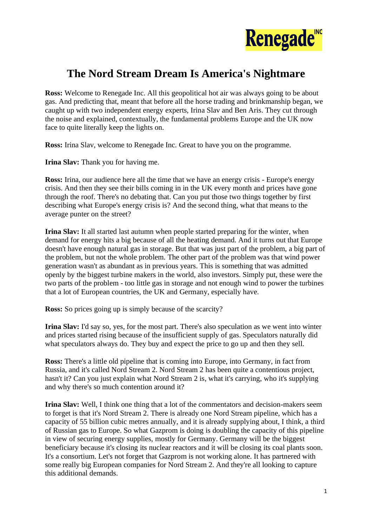

## **The Nord Stream Dream Is America's Nightmare**

**Ross:** Welcome to Renegade Inc. All this geopolitical hot air was always going to be about gas. And predicting that, meant that before all the horse trading and brinkmanship began, we caught up with two independent energy experts, Irina Slav and Ben Aris. They cut through the noise and explained, contextually, the fundamental problems Europe and the UK now face to quite literally keep the lights on.

**Ross:** Irina Slav, welcome to Renegade Inc. Great to have you on the programme.

**Irina Slav:** Thank you for having me.

**Ross:** Irina, our audience here all the time that we have an energy crisis - Europe's energy crisis. And then they see their bills coming in in the UK every month and prices have gone through the roof. There's no debating that. Can you put those two things together by first describing what Europe's energy crisis is? And the second thing, what that means to the average punter on the street?

**Irina Slav:** It all started last autumn when people started preparing for the winter, when demand for energy hits a big because of all the heating demand. And it turns out that Europe doesn't have enough natural gas in storage. But that was just part of the problem, a big part of the problem, but not the whole problem. The other part of the problem was that wind power generation wasn't as abundant as in previous years. This is something that was admitted openly by the biggest turbine makers in the world, also investors. Simply put, these were the two parts of the problem - too little gas in storage and not enough wind to power the turbines that a lot of European countries, the UK and Germany, especially have.

**Ross:** So prices going up is simply because of the scarcity?

**Irina Slav:** I'd say so, yes, for the most part. There's also speculation as we went into winter and prices started rising because of the insufficient supply of gas. Speculators naturally did what speculators always do. They buy and expect the price to go up and then they sell.

**Ross:** There's a little old pipeline that is coming into Europe, into Germany, in fact from Russia, and it's called Nord Stream 2. Nord Stream 2 has been quite a contentious project, hasn't it? Can you just explain what Nord Stream 2 is, what it's carrying, who it's supplying and why there's so much contention around it?

**Irina Slav:** Well, I think one thing that a lot of the commentators and decision-makers seem to forget is that it's Nord Stream 2. There is already one Nord Stream pipeline, which has a capacity of 55 billion cubic metres annually, and it is already supplying about, I think, a third of Russian gas to Europe. So what Gazprom is doing is doubling the capacity of this pipeline in view of securing energy supplies, mostly for Germany. Germany will be the biggest beneficiary because it's closing its nuclear reactors and it will be closing its coal plants soon. It's a consortium. Let's not forget that Gazprom is not working alone. It has partnered with some really big European companies for Nord Stream 2. And they're all looking to capture this additional demands.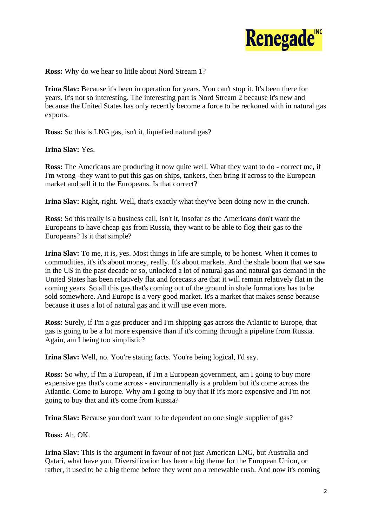

**Ross:** Why do we hear so little about Nord Stream 1?

**Irina Slav:** Because it's been in operation for years. You can't stop it. It's been there for years. It's not so interesting. The interesting part is Nord Stream 2 because it's new and because the United States has only recently become a force to be reckoned with in natural gas exports.

**Ross:** So this is LNG gas, isn't it, liquefied natural gas?

## **Irina Slav:** Yes.

**Ross:** The Americans are producing it now quite well. What they want to do - correct me, if I'm wrong -they want to put this gas on ships, tankers, then bring it across to the European market and sell it to the Europeans. Is that correct?

**Irina Slav:** Right, right. Well, that's exactly what they've been doing now in the crunch.

**Ross:** So this really is a business call, isn't it, insofar as the Americans don't want the Europeans to have cheap gas from Russia, they want to be able to flog their gas to the Europeans? Is it that simple?

**Irina Slav:** To me, it is, yes. Most things in life are simple, to be honest. When it comes to commodities, it's it's about money, really. It's about markets. And the shale boom that we saw in the US in the past decade or so, unlocked a lot of natural gas and natural gas demand in the United States has been relatively flat and forecasts are that it will remain relatively flat in the coming years. So all this gas that's coming out of the ground in shale formations has to be sold somewhere. And Europe is a very good market. It's a market that makes sense because because it uses a lot of natural gas and it will use even more.

**Ross:** Surely, if I'm a gas producer and I'm shipping gas across the Atlantic to Europe, that gas is going to be a lot more expensive than if it's coming through a pipeline from Russia. Again, am I being too simplistic?

**Irina Slav:** Well, no. You're stating facts. You're being logical, I'd say.

**Ross:** So why, if I'm a European, if I'm a European government, am I going to buy more expensive gas that's come across - environmentally is a problem but it's come across the Atlantic. Come to Europe. Why am I going to buy that if it's more expensive and I'm not going to buy that and it's come from Russia?

**Irina Slav:** Because you don't want to be dependent on one single supplier of gas?

**Ross:** Ah, OK.

**Irina Slav:** This is the argument in favour of not just American LNG, but Australia and Qatari, what have you. Diversification has been a big theme for the European Union, or rather, it used to be a big theme before they went on a renewable rush. And now it's coming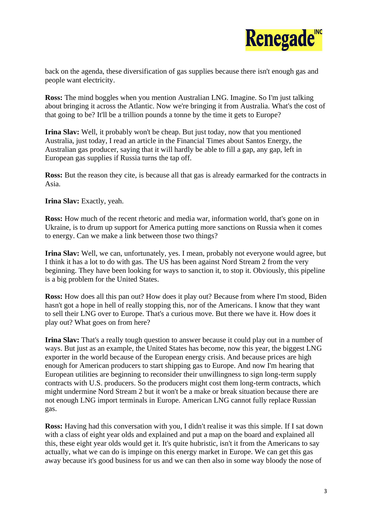

back on the agenda, these diversification of gas supplies because there isn't enough gas and people want electricity.

**Ross:** The mind boggles when you mention Australian LNG. Imagine. So I'm just talking about bringing it across the Atlantic. Now we're bringing it from Australia. What's the cost of that going to be? It'll be a trillion pounds a tonne by the time it gets to Europe?

**Irina Slav:** Well, it probably won't be cheap. But just today, now that you mentioned Australia, just today, I read an article in the Financial Times about Santos Energy, the Australian gas producer, saying that it will hardly be able to fill a gap, any gap, left in European gas supplies if Russia turns the tap off.

**Ross:** But the reason they cite, is because all that gas is already earmarked for the contracts in Asia.

**Irina Slav:** Exactly, yeah.

**Ross:** How much of the recent rhetoric and media war, information world, that's gone on in Ukraine, is to drum up support for America putting more sanctions on Russia when it comes to energy. Can we make a link between those two things?

**Irina Slav:** Well, we can, unfortunately, yes. I mean, probably not everyone would agree, but I think it has a lot to do with gas. The US has been against Nord Stream 2 from the very beginning. They have been looking for ways to sanction it, to stop it. Obviously, this pipeline is a big problem for the United States.

**Ross:** How does all this pan out? How does it play out? Because from where I'm stood, Biden hasn't got a hope in hell of really stopping this, nor of the Americans. I know that they want to sell their LNG over to Europe. That's a curious move. But there we have it. How does it play out? What goes on from here?

**Irina Slav:** That's a really tough question to answer because it could play out in a number of ways. But just as an example, the United States has become, now this year, the biggest LNG exporter in the world because of the European energy crisis. And because prices are high enough for American producers to start shipping gas to Europe. And now I'm hearing that European utilities are beginning to reconsider their unwillingness to sign long-term supply contracts with U.S. producers. So the producers might cost them long-term contracts, which might undermine Nord Stream 2 but it won't be a make or break situation because there are not enough LNG import terminals in Europe. American LNG cannot fully replace Russian gas.

**Ross:** Having had this conversation with you, I didn't realise it was this simple. If I sat down with a class of eight year olds and explained and put a map on the board and explained all this, these eight year olds would get it. It's quite hubristic, isn't it from the Americans to say actually, what we can do is impinge on this energy market in Europe. We can get this gas away because it's good business for us and we can then also in some way bloody the nose of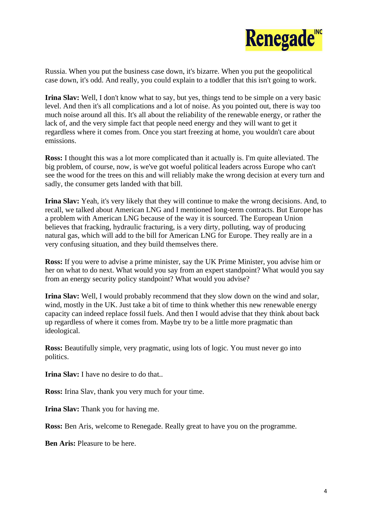

Russia. When you put the business case down, it's bizarre. When you put the geopolitical case down, it's odd. And really, you could explain to a toddler that this isn't going to work.

**Irina Slav:** Well, I don't know what to say, but yes, things tend to be simple on a very basic level. And then it's all complications and a lot of noise. As you pointed out, there is way too much noise around all this. It's all about the reliability of the renewable energy, or rather the lack of, and the very simple fact that people need energy and they will want to get it regardless where it comes from. Once you start freezing at home, you wouldn't care about emissions.

**Ross:** I thought this was a lot more complicated than it actually is. I'm quite alleviated. The big problem, of course, now, is we've got woeful political leaders across Europe who can't see the wood for the trees on this and will reliably make the wrong decision at every turn and sadly, the consumer gets landed with that bill.

**Irina Slav:** Yeah, it's very likely that they will continue to make the wrong decisions. And, to recall, we talked about American LNG and I mentioned long-term contracts. But Europe has a problem with American LNG because of the way it is sourced. The European Union believes that fracking, hydraulic fracturing, is a very dirty, polluting, way of producing natural gas, which will add to the bill for American LNG for Europe. They really are in a very confusing situation, and they build themselves there.

**Ross:** If you were to advise a prime minister, say the UK Prime Minister, you advise him or her on what to do next. What would you say from an expert standpoint? What would you say from an energy security policy standpoint? What would you advise?

**Irina Slav:** Well, I would probably recommend that they slow down on the wind and solar, wind, mostly in the UK. Just take a bit of time to think whether this new renewable energy capacity can indeed replace fossil fuels. And then I would advise that they think about back up regardless of where it comes from. Maybe try to be a little more pragmatic than ideological.

**Ross:** Beautifully simple, very pragmatic, using lots of logic. You must never go into politics.

**Irina Slav:** I have no desire to do that..

**Ross:** Irina Slav, thank you very much for your time.

**Irina Slav:** Thank you for having me.

**Ross:** Ben Aris, welcome to Renegade. Really great to have you on the programme.

**Ben Aris:** Pleasure to be here.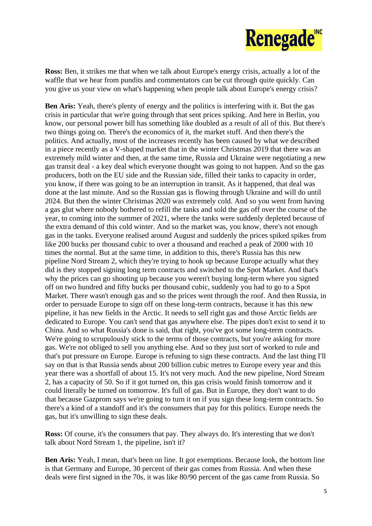

**Ross:** Ben, it strikes me that when we talk about Europe's energy crisis, actually a lot of the waffle that we hear from pundits and commentators can be cut through quite quickly. Can you give us your view on what's happening when people talk about Europe's energy crisis?

**Ben Aris:** Yeah, there's plenty of energy and the politics is interfering with it. But the gas crisis in particular that we're going through that sent prices spiking. And here in Berlin, you know, our personal power bill has something like doubled as a result of all of this. But there's two things going on. There's the economics of it, the market stuff. And then there's the politics. And actually, most of the increases recently has been caused by what we described in a piece recently as a V-shaped market that in the winter Christmas 2019 that there was an extremely mild winter and then, at the same time, Russia and Ukraine were negotiating a new gas transit deal - a key deal which everyone thought was going to not happen. And so the gas producers, both on the EU side and the Russian side, filled their tanks to capacity in order, you know, if there was going to be an interruption in transit. As it happened, that deal was done at the last minute. And so the Russian gas is flowing through Ukraine and will do until 2024. But then the winter Christmas 2020 was extremely cold. And so you went from having a gas glut where nobody bothered to refill the tanks and sold the gas off over the course of the year, to coming into the summer of 2021, where the tanks were suddenly depleted because of the extra demand of this cold winter. And so the market was, you know, there's not enough gas in the tanks. Everyone realised around August and suddenly the prices spiked spikes from like 200 bucks per thousand cubic to over a thousand and reached a peak of 2000 with 10 times the normal. But at the same time, in addition to this, there's Russia has this new pipeline Nord Stream 2, which they're trying to hook up because Europe actually what they did is they stopped signing long term contracts and switched to the Spot Market. And that's why the prices can go shooting up because you weren't buying long-term where you signed off on two hundred and fifty bucks per thousand cubic, suddenly you had to go to a Spot Market. There wasn't enough gas and so the prices went through the roof. And then Russia, in order to persuade Europe to sign off on these long-term contracts, because it has this new pipeline, it has new fields in the Arctic. It needs to sell right gas and those Arctic fields are dedicated to Europe. You can't send that gas anywhere else. The pipes don't exist to send it to China. And so what Russia's done is said, that right, you've got some long-term contracts. We're going to scrupulously stick to the terms of those contracts, but you're asking for more gas. We're not obliged to sell you anything else. And so they just sort of worked to rule and that's put pressure on Europe. Europe is refusing to sign these contracts. And the last thing I'll say on that is that Russia sends about 200 billion cubic metres to Europe every year and this year there was a shortfall of about 15. It's not very much. And the new pipeline, Nord Stream 2, has a capacity of 50. So if it got turned on, this gas crisis would finish tomorrow and it could literally be turned on tomorrow. It's full of gas. But in Europe, they don't want to do that because Gazprom says we're going to turn it on if you sign these long-term contracts. So there's a kind of a standoff and it's the consumers that pay for this politics. Europe needs the gas, but it's unwilling to sign these deals.

**Ross:** Of course, it's the consumers that pay. They always do. It's interesting that we don't talk about Nord Stream 1, the pipeline, isn't it?

**Ben Aris:** Yeah, I mean, that's been on line. It got exemptions. Because look, the bottom line is that Germany and Europe, 30 percent of their gas comes from Russia. And when these deals were first signed in the 70s, it was like 80/90 percent of the gas came from Russia. So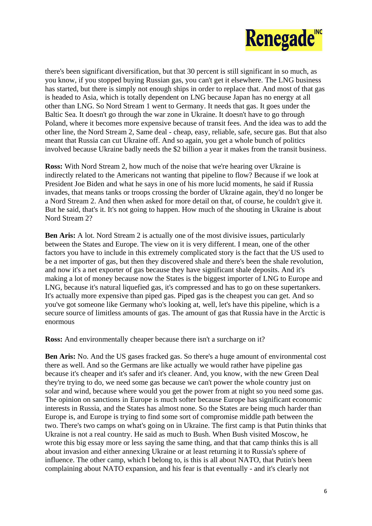

there's been significant diversification, but that 30 percent is still significant in so much, as you know, if you stopped buying Russian gas, you can't get it elsewhere. The LNG business has started, but there is simply not enough ships in order to replace that. And most of that gas is headed to Asia, which is totally dependent on LNG because Japan has no energy at all other than LNG. So Nord Stream 1 went to Germany. It needs that gas. It goes under the Baltic Sea. It doesn't go through the war zone in Ukraine. It doesn't have to go through Poland, where it becomes more expensive because of transit fees. And the idea was to add the other line, the Nord Stream 2, Same deal - cheap, easy, reliable, safe, secure gas. But that also meant that Russia can cut Ukraine off. And so again, you get a whole bunch of politics involved because Ukraine badly needs the \$2 billion a year it makes from the transit business.

**Ross:** With Nord Stream 2, how much of the noise that we're hearing over Ukraine is indirectly related to the Americans not wanting that pipeline to flow? Because if we look at President Joe Biden and what he says in one of his more lucid moments, he said if Russia invades, that means tanks or troops crossing the border of Ukraine again, they'd no longer be a Nord Stream 2. And then when asked for more detail on that, of course, he couldn't give it. But he said, that's it. It's not going to happen. How much of the shouting in Ukraine is about Nord Stream 2?

**Ben Aris:** A lot. Nord Stream 2 is actually one of the most divisive issues, particularly between the States and Europe. The view on it is very different. I mean, one of the other factors you have to include in this extremely complicated story is the fact that the US used to be a net importer of gas, but then they discovered shale and there's been the shale revolution, and now it's a net exporter of gas because they have significant shale deposits. And it's making a lot of money because now the States is the biggest importer of LNG to Europe and LNG, because it's natural liquefied gas, it's compressed and has to go on these supertankers. It's actually more expensive than piped gas. Piped gas is the cheapest you can get. And so you've got someone like Germany who's looking at, well, let's have this pipeline, which is a secure source of limitless amounts of gas. The amount of gas that Russia have in the Arctic is enormous

**Ross:** And environmentally cheaper because there isn't a surcharge on it?

**Ben Aris:** No. And the US gases fracked gas. So there's a huge amount of environmental cost there as well. And so the Germans are like actually we would rather have pipeline gas because it's cheaper and it's safer and it's cleaner. And, you know, with the new Green Deal they're trying to do, we need some gas because we can't power the whole country just on solar and wind, because where would you get the power from at night so you need some gas. The opinion on sanctions in Europe is much softer because Europe has significant economic interests in Russia, and the States has almost none. So the States are being much harder than Europe is, and Europe is trying to find some sort of compromise middle path between the two. There's two camps on what's going on in Ukraine. The first camp is that Putin thinks that Ukraine is not a real country. He said as much to Bush. When Bush visited Moscow, he wrote this big essay more or less saying the same thing, and that that camp thinks this is all about invasion and either annexing Ukraine or at least returning it to Russia's sphere of influence. The other camp, which I belong to, is this is all about NATO, that Putin's been complaining about NATO expansion, and his fear is that eventually - and it's clearly not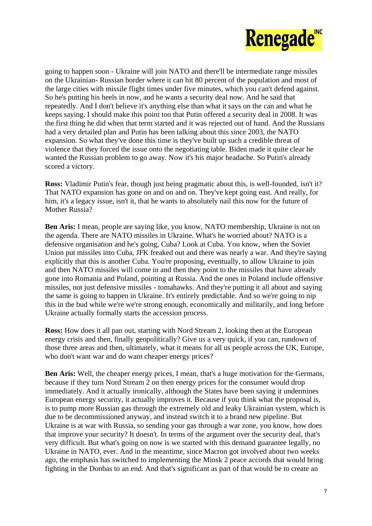

going to happen soon - Ukraine will join NATO and there'll be intermediate range missiles on the Ukrainian- Russian border where it can hit 80 percent of the population and most of the large cities with missile flight times under five minutes, which you can't defend against. So he's putting his heels in now, and he wants a security deal now. And he said that repeatedly. And I don't believe it's anything else than what it says on the can and what he keeps saying. I should make this point too that Putin offered a security deal in 2008. It was the first thing he did when that term started and it was rejected out of hand. And the Russians had a very detailed plan and Putin has been talking about this since 2003, the NATO expansion. So what they've done this time is they've built up such a credible threat of violence that they forced the issue onto the negotiating table. Biden made it quite clear he wanted the Russian problem to go away. Now it's his major headache. So Putin's already scored a victory.

**Ross:** Vladimir Putin's fear, though just being pragmatic about this, is well-founded, isn't it? That NATO expansion has gone on and on and on. They've kept going east. And really, for him, it's a legacy issue, isn't it, that he wants to absolutely nail this now for the future of Mother Russia?

**Ben Aris:** I mean, people are saying like, you know, NATO membership, Ukraine is not on the agenda. There are NATO missiles in Ukraine. What's he worried about? NATO is a defensive organisation and he's going, Cuba? Look at Cuba. You know, when the Soviet Union put missiles into Cuba, JFK freaked out and there was nearly a war. And they're saying explicitly that this is another Cuba. You're proposing, eventually, to allow Ukraine to join and then NATO missiles will come in and then they point to the missiles that have already gone into Romania and Poland, pointing at Russia. And the ones in Poland include offensive missiles, not just defensive missiles - tomahawks. And they're putting it all about and saying the same is going to happen in Ukraine. It's entirely predictable. And so we're going to nip this in the bud while we're we're strong enough, economically and militarily, and long before Ukraine actually formally starts the accession process.

**Ross:** How does it all pan out, starting with Nord Stream 2, looking then at the European energy crisis and then, finally geopolitically? Give us a very quick, if you can, rundown of those three areas and then, ultimately, what it means for all us people across the UK, Europe, who don't want war and do want cheaper energy prices?

**Ben Aris:** Well, the cheaper energy prices, I mean, that's a huge motivation for the Germans, because if they turn Nord Stream 2 on then energy prices for the consumer would drop immediately. And it actually ironically, although the States have been saying it undermines European energy security, it actually improves it. Because if you think what the proposal is, is to pump more Russian gas through the extremely old and leaky Ukrainian system, which is due to be decommissioned anyway, and instead switch it to a brand new pipeline. But Ukraine is at war with Russia, so sending your gas through a war zone, you know, how does that improve your security? It doesn't. In terms of the argument over the security deal, that's very difficult. But what's going on now is we started with this demand guarantee legally, no Ukraine in NATO, ever. And in the meantime, since Macron got involved about two weeks ago, the emphasis has switched to implementing the Minsk 2 peace accords that would bring fighting in the Donbas to an end. And that's significant as part of that would be to create an